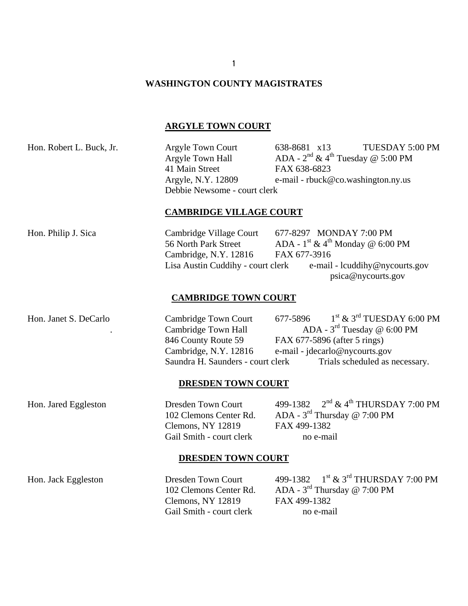# **WASHINGTON COUNTY MAGISTRATES**

# **ARGYLE TOWN COURT**

| Hon. Robert L. Buck, Jr. | <b>Argyle Town Court</b><br>Argyle Town Hall<br>41 Main Street<br>Argyle, N.Y. 12809<br>Debbie Newsome - court clerk             | TUESDAY 5:00 PM<br>638-8681 x13<br>ADA - $2^{nd}$ & 4 <sup>th</sup> Tuesday @ 5:00 PM<br>FAX 638-6823<br>e-mail - rbuck@co.washington.ny.us                                                               |
|--------------------------|----------------------------------------------------------------------------------------------------------------------------------|-----------------------------------------------------------------------------------------------------------------------------------------------------------------------------------------------------------|
|                          | <b>CAMBRIDGE VILLAGE COURT</b>                                                                                                   |                                                                                                                                                                                                           |
| Hon. Philip J. Sica      | Cambridge Village Court<br>56 North Park Street<br>Cambridge, N.Y. 12816<br>Lisa Austin Cuddihy - court clerk                    | 677-8297 MONDAY 7:00 PM<br>ADA - $1^{\text{st}}$ & $4^{\text{th}}$ Monday @ 6:00 PM<br>FAX 677-3916<br>e-mail - lcuddihy@nycourts.gov<br>psica@nycourts.gov                                               |
|                          | <b>CAMBRIDGE TOWN COURT</b>                                                                                                      |                                                                                                                                                                                                           |
| Hon. Janet S. DeCarlo    | Cambridge Town Court<br>Cambridge Town Hall<br>846 County Route 59<br>Cambridge, N.Y. 12816<br>Saundra H. Saunders - court clerk | 677-5896 $1^{\text{st}}$ & 3 <sup>rd</sup> TUESDAY 6:00 PM<br>ADA - $3^{\text{rd}}$ Tuesday @ 6:00 PM<br>FAX 677-5896 (after 5 rings)<br>e-mail - jdecarlo@nycourts.gov<br>Trials scheduled as necessary. |
|                          | <b>DRESDEN TOWN COURT</b>                                                                                                        |                                                                                                                                                                                                           |
| Hon. Jared Eggleston     | <b>Dresden Town Court</b><br>102 Clemons Center Rd.<br>Clemons, NY 12819<br>Gail Smith - court clerk                             | 499-1382 2 <sup>nd</sup> & 4 <sup>th</sup> THURSDAY 7:00 PM<br>ADA - $3^{\text{rd}}$ Thursday @ 7:00 PM<br>FAX 499-1382<br>no e-mail                                                                      |
|                          | <b>DRESDEN TOWN COURT</b>                                                                                                        |                                                                                                                                                                                                           |
| Hon. Jack Eggleston      | <b>Dresden Town Court</b><br>102 Clemons Center Rd.                                                                              | 499-1382 $1^{st}$ & 3 <sup>rd</sup> THURSDAY 7:00 PM<br>ADA - $3^{\text{rd}}$ Thursday @ 7:00 PM                                                                                                          |

Clemons, NY 12819 FAX 499-1382 Gail Smith - court clerk no e-mail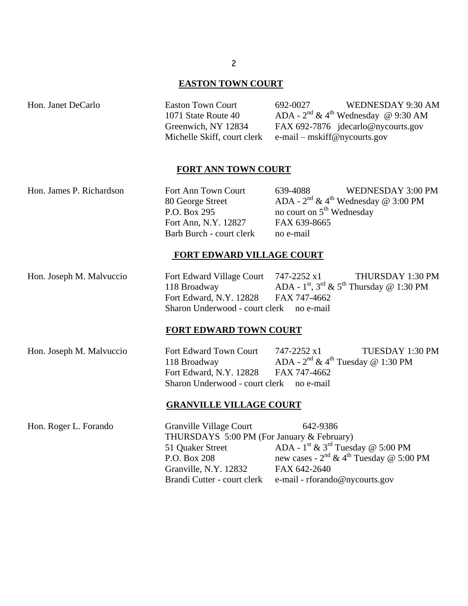#### **EASTON TOWN COURT**

 $1071$  State Route  $40$ Michelle Skiff, court clerk e-mail – mskiff@nycourts.gov

Hon. Janet DeCarlo Easton Town Court 692-0027 WEDNESDAY 9:30 AM ADA -  $2^{nd}$  & 4<sup>th</sup> Wednesday @ 9:30 AM Greenwich, NY 12834 FAX 692-7876 jdecarlo@nycourts.gov

#### **FORT ANN TOWN COURT**

Hon. James P. Richardson Fort Ann Town Court 639-4088 WEDNESDAY 3:00 PM 80 George Street ADA -  $2^{nd}$  & 4<sup>th</sup> Wednesday @ 3:00 PM P.O. Box 295 no court on  $5<sup>th</sup>$  Wednesday Fort Ann, N.Y. 12827 FAX 639-8665 Barb Burch - court clerk no e-mail

#### **FORT EDWARD VILLAGE COURT**

Hon. Joseph M. Malvuccio Fort Edward Village Court 747-2252 x1 THURSDAY 1:30 PM 118 Broadway ADA -  $1^{\text{st}}$ ,  $3^{\text{rd}}$  &  $5^{\text{th}}$  Thursday @ 1:30 PM Fort Edward, N.Y. 12828 FAX 747-4662 Sharon Underwood - court clerk no e-mail

### **FORT EDWARD TOWN COURT**

Hon. Joseph M. Malvuccio Fort Edward Town Court 747-2252 x1 TUESDAY 1:30 PM 118 Broadway ADA -  $2^{nd}$  & 4<sup>th</sup> Tuesday @ 1:30 PM Fort Edward, N.Y. 12828 FAX 747-4662 Sharon Underwood - court clerk no e-mail

### **GRANVILLE VILLAGE COURT**

Hon. Roger L. Forando Granville Village Court 642-9386 THURSDAYS 5:00 PM (For January & February) 51 Ouaker Street ADA -  $1^{\text{st}}$  &  $3^{\text{rd}}$  Tuesday @ 5:00 PM P.O. Box 208 new cases -  $2<sup>nd</sup> \& 4<sup>th</sup> Tuesday @ 5:00 PM$ Granville, N.Y. 12832 FAX 642-2640 Brandi Cutter - court clerk e-mail - rforando@nycourts.gov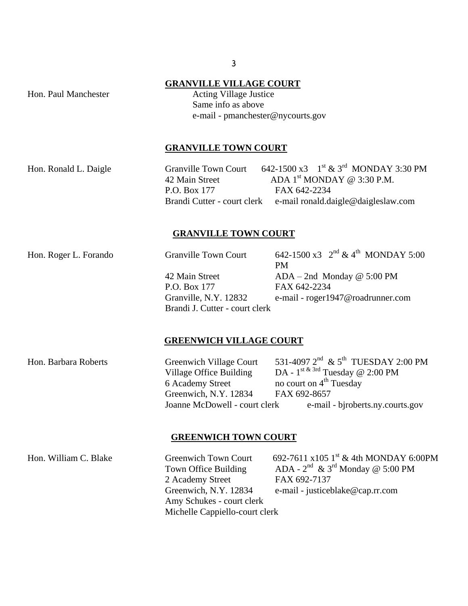### **GRANVILLE VILLAGE COURT**

Hon. Paul Manchester Acting Village Justice Same info as above e-mail - pmanchester@nycourts.gov

## **GRANVILLE TOWN COURT**

Hon. Ronald L. Daigle  $\qquad \qquad$  Granville Town Court  $\qquad 642$ -1500 x3  $\qquad1^{\text{st}} \& 3^{\text{rd}}$  MONDAY 3:30 PM 42 Main Street  $\triangle$  ADA 1<sup>st</sup> MONDAY @ 3:30 P.M. P.O. Box 177 **FAX 642-2234** Brandi Cutter - court clerk e-mail ronald.daigle@daigleslaw.com

## **GRANVILLE TOWN COURT**

Hon. Roger L. Forando Granville Town Court  $642-1500 \times 3 \times 2^{nd} \& 4^{th}$  MONDAY 5:00 PM 42 Main Street ADA – 2nd Monday @ 5:00 PM P.O. Box 177 FAX 642-2234

Granville, N.Y. 12832 e-mail - roger1947@roadrunner.com Brandi J. Cutter - court clerk

### **GREENWICH VILLAGE COURT**

Hon. Barbara Roberts Greenwich Village Court  $^{\text{nd}}$  & 5<sup>th</sup> TUESDAY 2:00 PM Village Office Building  $DA - 1$ <sup>st & 3rd</sup> Tuesday @ 2:00 PM 6 Academy Street no court on  $4<sup>th</sup>$  Tuesday Greenwich, N.Y. 12834 FAX 692-8657 Joanne McDowell - court clerk e-mail - biroberts.ny.courts.gov

### **GREENWICH TOWN COURT**

Hon. William C. Blake Greenwich Town Court 692-7611 x105  $1^{\text{st}}$  & 4th MONDAY 6:00PM Town Office Building ADA -  $2^{nd}$  & 3<sup>rd</sup> Monday @ 5:00 PM 2 Academy Street FAX 692-7137 Greenwich, N.Y. 12834 e-mail - justiceblake@cap.rr.com Amy Schukes - court clerk Michelle Cappiello-court clerk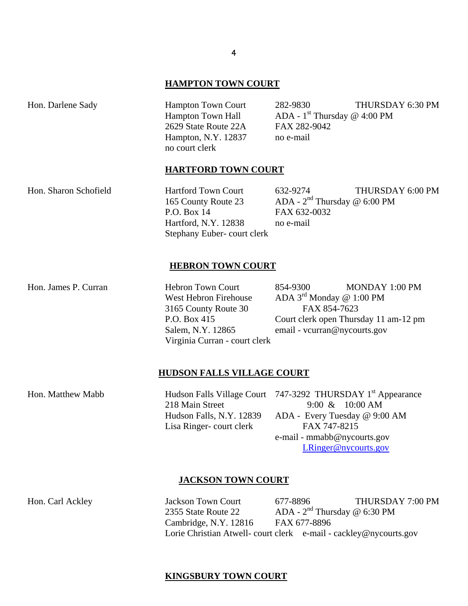## **HAMPTON TOWN COURT**

| Hon. Darlene Sady | <b>Hampton Town Court</b><br><b>Hampton Town Hall</b><br>2629 State Route 22A<br>Hampton, N.Y. 12837<br>no court clerk | 282-9830<br>ADA - $1^{\text{st}}$ Thursday @ 4:00 PM<br>FAX 282-9042<br>no e-mail | THURSDAY 6:30 PM |
|-------------------|------------------------------------------------------------------------------------------------------------------------|-----------------------------------------------------------------------------------|------------------|
|                   | <b>HARTFORD TOWN COURT</b>                                                                                             |                                                                                   |                  |

165 County Route 23 P.O. Box 14 FAX 632-0032 Hartford, N.Y. 12838 no e-mail Stephany Euber- court clerk

Hon. Sharon Schofield Hartford Town Court 632-9274 THURSDAY 6:00 PM ADA -  $2<sup>nd</sup>$  Thursday @ 6:00 PM

#### **HEBRON TOWN COURT**

West Hebron Firehouse  $\qquad$  ADA 3<sup>rd</sup> Monday @ 1:00 PM 3165 County Route 30 FAX 854-7623 Salem, N.Y. 12865 email - vcurran@nycourts.gov Virginia Curran - court clerk

Hon. James P. Curran Hebron Town Court 854-9300 MONDAY 1:00 PM P.O. Box 415 Court clerk open Thursday 11 am-12 pm

### **HUDSON FALLS VILLAGE COURT**

Hon. Matthew Mabb Hudson Falls Village Court 747-3292 THURSDAY 1<sup>st</sup> Appearance 218 Main Street 9:00 & 10:00 AM Hudson Falls, N.Y. 12839 ADA - Every Tuesday @ 9:00 AM Lisa Ringer- court clerk FAX 747-8215 e-mail - mmabb@nycourts.gov

[LRinger@nycourts.gov](mailto:LRinger@nycourts.gov)

#### **JACKSON TOWN COURT**

Hon. Carl Ackley Jackson Town Court 677-8896 THURSDAY 7:00 PM 2355 State Route 22 ADA -  $2<sup>nd</sup>$  Thursday @ 6:30 PM Cambridge, N.Y. 12816 FAX 677-8896 Lorie Christian Atwell- court clerk e-mail - cackley@nycourts.gov

## **KINGSBURY TOWN COURT**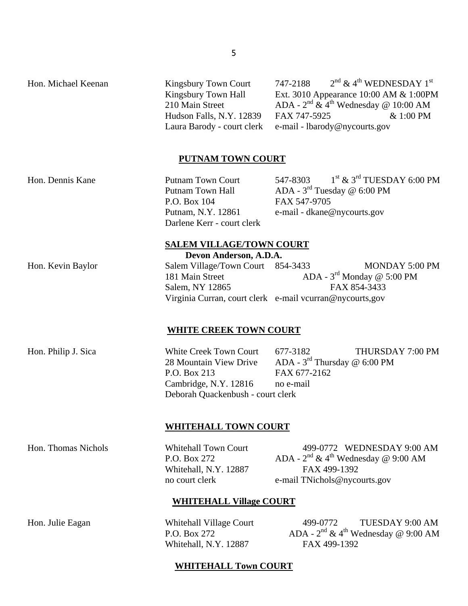Hon. Michael Keenan Kingsbury Town Court 747-2188 210 Main Street

 $2<sup>nd</sup>$  & 4<sup>th</sup> WEDNESDAY 1<sup>st</sup> Kingsbury Town Hall Ext. 3010 Appearance 10:00 AM & 1:00PM ADA -  $2^{nd}$  &  $4^{th}$  Wednesday @ 10:00 AM Hudson Falls, N.Y. 12839 FAX 747-5925 & 1:00 PM Laura Barody - court clerk e-mail - lbarody@nycourts.gov

# **PUTNAM TOWN COURT**

Hon. Dennis Kane Putnam Town Court 547-8303 1 Putnam Town Hall P.O. Box 104 FAX 547-9705 Putnam, N.Y. 12861 e-mail - dkane@nycourts.gov Darlene Kerr - court clerk

 $1<sup>st</sup>$  &  $3<sup>rd</sup>$  TUESDAY 6:00 PM ADA -  $3^{\rm rd}$  Tuesday @ 6:00 PM

## **SALEM VILLAGE/TOWN COURT**

**Devon Anderson, A.D.A.**

Hon. Kevin Baylor Salem Village/Town Court 854-3433 MONDAY 5:00 PM 181 Main Street ADA -  $3^{\text{rd}}$  Monday @ 5:00 PM Salem, NY 12865 FAX 854-3433 Virginia Curran, court clerk e-mail vcurran@nycourts,gov

# **WHITE CREEK TOWN COURT**

28 Mountain View Drive P.O. Box 213 FAX 677-2162 Cambridge, N.Y. 12816 no e-mail Deborah Quackenbush - court clerk

Hon. Philip J. Sica White Creek Town Court 677-3182 THURSDAY 7:00 PM ADA -  $3^{\text{rd}}$  Thursday @ 6:00 PM

# **WHITEHALL TOWN COURT**

P.O. Box  $272$ Whitehall, N.Y. 12887 FAX 499-1392

Hon. Thomas Nichols Whitehall Town Court 499-0772 WEDNESDAY 9:00 AM ADA -  $2^{nd}$  & 4<sup>th</sup> Wednesday @ 9:00 AM no court clerk e-mail TNichols@nycourts.gov

# **WHITEHALL Village COURT**

P.O. Box  $272$ Whitehall, N.Y. 12887 FAX 499-1392

Hon. Julie Eagan Whitehall Village Court 499-0772 TUESDAY 9:00 AM ADA -  $2^{nd}$  & 4<sup>th</sup> Wednesday @ 9:00 AM

# **WHITEHALL Town COURT**